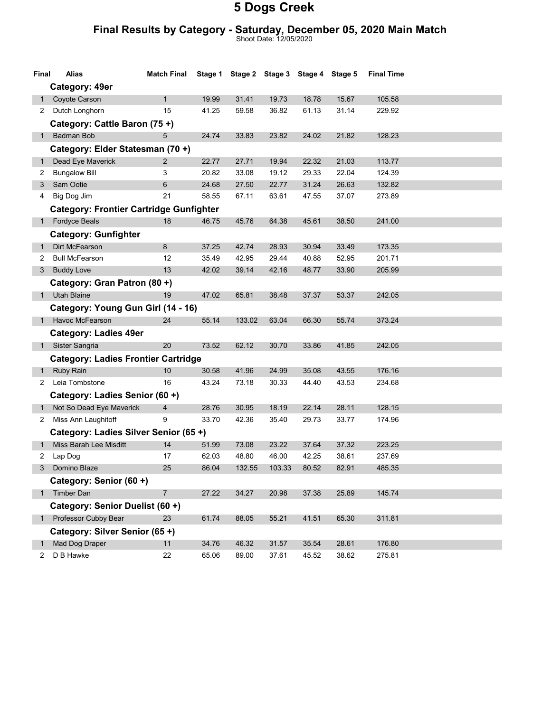#### Final Results by Category - Saturday, December 05, 2020 Main Match

Shoot Date: 12/05/2020

| Final        | Alias                                          | <b>Match Final</b> |       | Stage 1 Stage 2 Stage 3 Stage 4 Stage 5 |        |       |       | <b>Final Time</b> |  |
|--------------|------------------------------------------------|--------------------|-------|-----------------------------------------|--------|-------|-------|-------------------|--|
|              | Category: 49er                                 |                    |       |                                         |        |       |       |                   |  |
| 1            | Coyote Carson                                  | 1                  | 19.99 | 31.41                                   | 19.73  | 18.78 | 15.67 | 105.58            |  |
| 2            | Dutch Longhorn                                 | 15                 | 41.25 | 59.58                                   | 36.82  | 61.13 | 31.14 | 229.92            |  |
|              | Category: Cattle Baron (75+)                   |                    |       |                                         |        |       |       |                   |  |
| 1            | Badman Bob                                     | 5                  | 24.74 | 33.83                                   | 23.82  | 24.02 | 21.82 | 128.23            |  |
|              | Category: Elder Statesman (70+)                |                    |       |                                         |        |       |       |                   |  |
| 1            | Dead Eye Maverick                              | $\overline{2}$     | 22.77 | 27.71                                   | 19.94  | 22.32 | 21.03 | 113.77            |  |
| 2            | <b>Bungalow Bill</b>                           | 3                  | 20.82 | 33.08                                   | 19.12  | 29.33 | 22.04 | 124.39            |  |
| 3            | Sam Ootie                                      | 6                  | 24.68 | 27.50                                   | 22.77  | 31.24 | 26.63 | 132.82            |  |
| 4            | Big Dog Jim                                    | 21                 | 58.55 | 67.11                                   | 63.61  | 47.55 | 37.07 | 273.89            |  |
|              | <b>Category: Frontier Cartridge Gunfighter</b> |                    |       |                                         |        |       |       |                   |  |
|              | 1 Fordyce Beals                                | 18                 | 46.75 | 45.76                                   | 64.38  | 45.61 | 38.50 | 241.00            |  |
|              | <b>Category: Gunfighter</b>                    |                    |       |                                         |        |       |       |                   |  |
| 1            | Dirt McFearson                                 | 8                  | 37.25 | 42.74                                   | 28.93  | 30.94 | 33.49 | 173.35            |  |
| 2            | <b>Bull McFearson</b>                          | 12                 | 35.49 | 42.95                                   | 29.44  | 40.88 | 52.95 | 201.71            |  |
|              | 3 Buddy Love                                   | 13                 | 42.02 | 39.14                                   | 42.16  | 48.77 | 33.90 | 205.99            |  |
|              | Category: Gran Patron (80 +)                   |                    |       |                                         |        |       |       |                   |  |
| 1            | <b>Utah Blaine</b>                             | 19                 | 47.02 | 65.81                                   | 38.48  | 37.37 | 53.37 | 242.05            |  |
|              | Category: Young Gun Girl (14 - 16)             |                    |       |                                         |        |       |       |                   |  |
|              | Havoc McFearson                                | 24                 | 55.14 | 133.02                                  | 63.04  | 66.30 | 55.74 | 373.24            |  |
|              | <b>Category: Ladies 49er</b>                   |                    |       |                                         |        |       |       |                   |  |
|              | 1 Sister Sangria                               | 20                 | 73.52 | 62.12                                   | 30.70  | 33.86 | 41.85 | 242.05            |  |
|              | <b>Category: Ladies Frontier Cartridge</b>     |                    |       |                                         |        |       |       |                   |  |
| 1            | Ruby Rain                                      | 10                 | 30.58 | 41.96                                   | 24.99  | 35.08 | 43.55 | 176.16            |  |
| 2            | Leia Tombstone                                 | 16                 | 43.24 | 73.18                                   | 30.33  | 44.40 | 43.53 | 234.68            |  |
|              | Category: Ladies Senior (60 +)                 |                    |       |                                         |        |       |       |                   |  |
| 1            | Not So Dead Eye Maverick                       | 4                  | 28.76 | 30.95                                   | 18.19  | 22.14 | 28.11 | 128.15            |  |
| 2            | Miss Ann Laughitoff                            | 9                  | 33.70 | 42.36                                   | 35.40  | 29.73 | 33.77 | 174.96            |  |
|              | Category: Ladies Silver Senior (65+)           |                    |       |                                         |        |       |       |                   |  |
| 1            | Miss Barah Lee Misditt                         | 14                 | 51.99 | 73.08                                   | 23.22  | 37.64 | 37.32 | 223.25            |  |
| 2            | Lap Dog                                        | 17                 | 62.03 | 48.80                                   | 46.00  | 42.25 | 38.61 | 237.69            |  |
| $\mathbf{3}$ | Domino Blaze                                   | 25                 | 86.04 | 132.55                                  | 103.33 | 80.52 | 82.91 | 485.35            |  |
|              | Category: Senior (60 +)                        |                    |       |                                         |        |       |       |                   |  |
| 1            | Timber Dan                                     | 7                  | 27.22 | 34.27                                   | 20.98  | 37.38 | 25.89 | 145.74            |  |
|              | Category: Senior Duelist (60 +)                |                    |       |                                         |        |       |       |                   |  |
|              | 1 Professor Cubby Bear                         | 23                 | 61.74 | 88.05                                   | 55.21  | 41.51 | 65.30 | 311.81            |  |
|              | Category: Silver Senior (65+)                  |                    |       |                                         |        |       |       |                   |  |
| 1            | Mad Dog Draper                                 | 11                 | 34.76 | 46.32                                   | 31.57  | 35.54 | 28.61 | 176.80            |  |
| $\mathbf{2}$ | D B Hawke                                      | 22                 | 65.06 | 89.00                                   | 37.61  | 45.52 | 38.62 | 275.81            |  |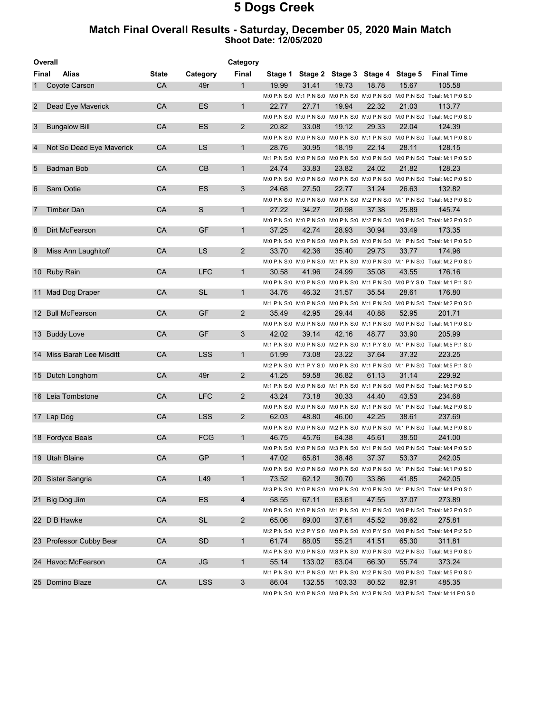#### Match Final Overall Results - Saturday, December 05, 2020 Main Match Shoot Date: 12/05/2020

|                | Overall<br>Category       |              |            |                       |       |        |                                         |       |       |                                                                                            |
|----------------|---------------------------|--------------|------------|-----------------------|-------|--------|-----------------------------------------|-------|-------|--------------------------------------------------------------------------------------------|
| Final          | Alias                     | <b>State</b> | Category   | Final                 |       |        | Stage 1 Stage 2 Stage 3 Stage 4 Stage 5 |       |       | <b>Final Time</b>                                                                          |
| 1              | Coyote Carson             | <b>CA</b>    | 49r        | $\mathbf{1}$          | 19.99 | 31.41  | 19.73                                   | 18.78 | 15.67 | 105.58                                                                                     |
|                |                           |              |            |                       |       |        |                                         |       |       | M:0 P:N S:0 M:1 P:N S:0 M:0 P:N S:0 M:0 P:N S:0 M:0 P:N S:0 Total: M:1 P:0 S:0             |
| $\overline{2}$ | Dead Eye Maverick         | CA           | ES         | 1                     | 22.77 | 27.71  | 19.94                                   | 22.32 | 21.03 | 113.77                                                                                     |
|                |                           |              |            |                       |       |        |                                         |       |       | M:0 P:N S:0 M:0 P:N S:0 M:0 P:N S:0 M:0 P:N S:0 M:0 P:N S:0 M:0 P:N S:0 Total: M:0 P:0 S:0 |
| 3              | <b>Bungalow Bill</b>      | CA           | ES         | $\overline{2}$        | 20.82 | 33.08  | 19.12                                   | 29.33 | 22.04 | 124.39                                                                                     |
|                |                           |              |            |                       |       |        |                                         |       |       | M:0 P:N S:0 M:0 P:N S:0 M:0 P:N S:0 M:1 P:N S:0 M:0 P:N S:0 Total: M:1 P:0 S:0             |
| 4              | Not So Dead Eye Maverick  | <b>CA</b>    | <b>LS</b>  | $\mathbf{1}$          | 28.76 | 30.95  | 18.19                                   | 22.14 | 28.11 | 128.15                                                                                     |
|                |                           |              |            |                       |       |        |                                         |       |       | M:1 P:N S:0 M:0 P:N S:0 M:0 P:N S:0 M:0 P:N S:0 M:0 P:N S:0 Total: M:1 P:0 S:0             |
| 5              | <b>Badman Bob</b>         | CA           | CB         | $\mathbf{1}$          | 24.74 | 33.83  | 23.82                                   | 24.02 | 21.82 | 128.23                                                                                     |
|                |                           |              |            |                       |       |        |                                         |       |       | M:0 P:N S:0 M:0 P:N S:0 M:0 P:N S:0 M:0 P:N S:0 M:0 P:N S:0 M:0 P:N S:0 Total: M:0 P:0 S:0 |
| 6              | Sam Ootie                 | CA           | ES         | 3                     | 24.68 | 27.50  | 22.77                                   | 31.24 | 26.63 | 132.82                                                                                     |
|                |                           |              |            |                       |       |        |                                         |       |       | M:0 P:N S:0 M:0 P:N S:0 M:0 P:N S:0 M:2 P:N S:0 M:1 P:N S:0 Total: M:3 P:0 S:0             |
| 7              | Timber Dan                | CA           | S          | $\mathbf{1}$          | 27.22 | 34.27  | 20.98                                   | 37.38 | 25.89 | 145.74                                                                                     |
|                |                           |              |            |                       |       |        |                                         |       |       | M:0 P:N S:0 M:0 P:N S:0 M:0 P:N S:0 M:2 P:N S:0 M:0 P:N S:0 Total: M:2 P:0 S:0             |
| 8              | Dirt McFearson            | CA           | GF         | 1                     | 37.25 | 42.74  | 28.93                                   | 30.94 | 33.49 | 173.35                                                                                     |
|                |                           |              |            |                       |       |        |                                         |       |       | M:0 P:N S:0 M:0 P:N S:0 M:0 P:N S:0 M:0 P:N S:0 M:1 P:N S:0 Total: M:1 P:0 S:0             |
| 9              | Miss Ann Laughitoff       | CA           | LS.        | 2                     | 33.70 | 42.36  | 35.40                                   | 29.73 | 33.77 | 174.96                                                                                     |
|                |                           |              |            |                       |       |        |                                         |       |       | M:0 P:N S:0 M:0 P:N S:0 M:1 P:N S:0 M:0 P:N S:0 M:1 P:N S:0 Total: M:2 P:0 S:0             |
|                | 10 Ruby Rain              | CA           | <b>LFC</b> | $\mathbf{1}$          | 30.58 | 41.96  | 24.99                                   | 35.08 | 43.55 | 176.16                                                                                     |
|                |                           |              |            |                       |       |        |                                         |       |       | M:0 P:N S:0 M:0 P:N S:0 M:0 P:N S:0 M:1 P:N S:0 M:0 P:Y S:0 Total: M:1 P:1 S:0             |
|                | 11 Mad Dog Draper         | <b>CA</b>    | <b>SL</b>  | $\mathbf{1}$          | 34.76 | 46.32  | 31.57                                   | 35.54 | 28.61 | 176.80                                                                                     |
|                |                           |              |            |                       |       |        |                                         |       |       | M:1 P:N S:0 M:0 P:N S:0 M:0 P:N S:0 M:1 P:N S:0 M:0 P:N S:0 Total: M:2 P:0 S:0             |
|                | 12 Bull McFearson         | CA           | GF         | $\overline{2}$        | 35.49 | 42.95  | 29.44                                   | 40.88 | 52.95 | 201.71                                                                                     |
|                |                           |              |            |                       |       |        |                                         |       |       | M:0 P:N S:0 M:0 P:N S:0 M:0 P:N S:0 M:1 P:N S:0 M:0 P:N S:0 Total: M:1 P:0 S:0             |
|                | 13 Buddy Love             | CA           | GF         | 3                     | 42.02 | 39.14  | 42.16                                   | 48.77 | 33.90 | 205.99                                                                                     |
|                |                           |              |            |                       |       |        |                                         |       |       | M:1 P:N S:0 M:0 P:N S:0 M:2 P:N S:0 M:1 P:Y S:0 M:1 P:N S:0 Total: M:5 P:1 S:0             |
|                | 14 Miss Barah Lee Misditt | <b>CA</b>    | <b>LSS</b> | 1                     | 51.99 | 73.08  | 23.22                                   | 37.64 | 37.32 | 223.25                                                                                     |
|                |                           |              |            |                       |       |        |                                         |       |       | M:2 P:N S:0 M:1 P:Y S:0 M:0 P:N S:0 M:1 P:N S:0 M:1 P:N S:0 Total: M:5 P:1 S:0             |
|                | 15 Dutch Longhorn         | CA           | 49r        | 2                     | 41.25 | 59.58  | 36.82                                   | 61.13 | 31.14 | 229.92                                                                                     |
|                |                           |              |            |                       |       |        |                                         |       |       | M:1 P:N S:0 M:0 P:N S:0 M:1 P:N S:0 M:1 P:N S:0 M:0 P:N S:0 Total: M:3 P:0 S:0             |
|                | 16 Leia Tombstone         | CA           | <b>LFC</b> | 2                     | 43.24 | 73.18  | 30.33                                   | 44.40 | 43.53 | 234.68                                                                                     |
|                |                           |              |            |                       |       |        |                                         |       |       | M:0 P:N S:0 M:0 P:N S:0 M:0 P:N S:0 M:1 P:N S:0 M:1 P:N S:0 Total: M:2 P:0 S:0             |
|                | 17 Lap Dog                | <b>CA</b>    | <b>LSS</b> | 2                     | 62.03 | 48.80  | 46.00                                   | 42.25 | 38.61 | 237.69                                                                                     |
|                |                           |              |            |                       |       |        |                                         |       |       | M:0 P:N S:0 M:0 P:N S:0 M:2 P:N S:0 M:0 P:N S:0 M:1 P:N S:0 Total: M:3 P:0 S:0             |
|                | 18 Fordyce Beals          | CA           | <b>FCG</b> | $\mathbf{1}$          | 46.75 | 45.76  | 64.38                                   | 45.61 | 38.50 | 241.00                                                                                     |
|                |                           |              |            |                       |       |        |                                         |       |       | M:0 P:N S:0 M:0 P:N S:0 M:3 P:N S:0 M:1 P:N S:0 M:0 P:N S:0 Total: M:4 P:0 S:0             |
|                | 19 Utah Blaine            | CA           | GP         |                       | 47.02 | 65.81  | 38.48                                   | 37.37 | 53.37 | 242.05                                                                                     |
|                |                           |              |            |                       |       |        |                                         |       |       | M:0 P:N S:0 M:0 P:N S:0 M:0 P:N S:0 M:0 P:N S:0 M:1 P:N S:0 Total: M:1 P:0 S:0             |
|                | 20 Sister Sangria         | CA           | L49        | $\mathbf{1}$          | 73.52 | 62.12  | 30.70                                   | 33.86 | 41.85 | 242.05                                                                                     |
|                |                           |              |            |                       |       |        |                                         |       |       | M:3 P:N S:0 M:0 P:N S:0 M:0 P:N S:0 M:0 P:N S:0 M:0 P:N S:0 M:1 P:N S:0 Total: M:4 P:0 S:0 |
|                | 21 Big Dog Jim            | CA           | ES         | 4                     | 58.55 | 67.11  | 63.61                                   | 47.55 | 37.07 | 273.89                                                                                     |
|                |                           |              |            |                       |       |        |                                         |       |       | M:0 P:N S:0 M:0 P:N S:0 M:1 P:N S:0 M:1 P:N S:0 M:0 P:N S:0 Total: M:2 P:0 S:0             |
|                | 22 D B Hawke              | CA           | <b>SL</b>  | $\mathbf{2}^{\prime}$ | 65.06 | 89.00  | 37.61                                   | 45.52 | 38.62 | 275.81                                                                                     |
|                |                           |              |            |                       |       |        |                                         |       |       | M:2 P:N S:0 M:2 P:Y S:0 M:0 P:N S:0 M:0 P:Y S:0 M:0 P:N S:0 Total: M:4 P:2 S:0             |
|                | 23 Professor Cubby Bear   | CA           | SD.        | $\mathbf{1}$          | 61.74 | 88.05  | 55.21                                   | 41.51 | 65.30 | 311.81                                                                                     |
|                |                           |              |            |                       |       |        |                                         |       |       | M:4 P:N S:0 M:0 P:N S:0 M:3 P:N S:0 M:0 P:N S:0 M:2 P:N S:0 Total: M:9 P:0 S:0             |
|                | 24 Havoc McFearson        | CA           | JG         | $\mathbf{1}$          | 55.14 | 133.02 | 63.04                                   | 66.30 | 55.74 | 373.24                                                                                     |
|                |                           |              |            |                       |       |        |                                         |       |       | M:1 P:N S:0 M:1 P:N S:0 M:1 P:N S:0 M:2 P:N S:0 M:0 P:N S:0 Total: M:5 P:0 S:0             |
|                | 25 Domino Blaze           | CA           | <b>LSS</b> | 3                     | 86.04 | 132.55 | 103.33                                  | 80.52 | 82.91 | 485.35                                                                                     |
|                |                           |              |            |                       |       |        |                                         |       |       |                                                                                            |

M:0 P:N S:0 M:0 P:N S:0 M:8 P:N S:0 M:3 P:N S:0 M:3 P:N S:0 Total: M:14 P:0 S:0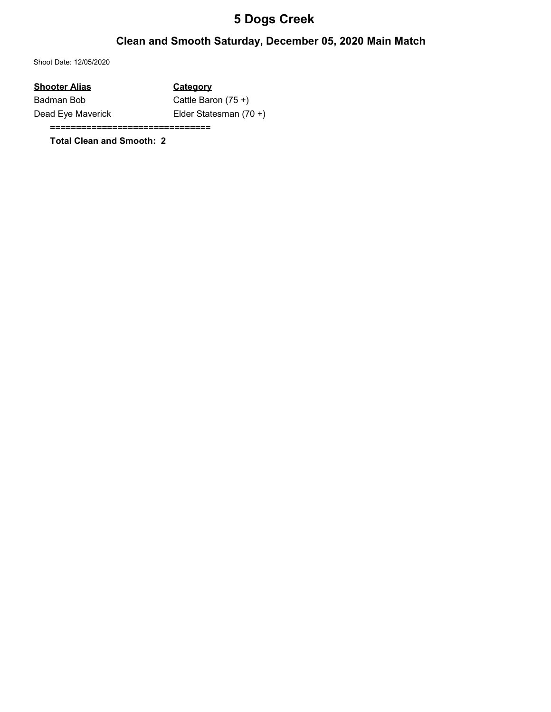### Clean and Smooth Saturday, December 05, 2020 Main Match

Shoot Date: 12/05/2020

| <b>Shooter Alias</b> | Category               |
|----------------------|------------------------|
| Badman Bob           | Cattle Baron $(75 +)$  |
| Dead Eye Maverick    | Elder Statesman (70 +) |

===============================

Total Clean and Smooth: 2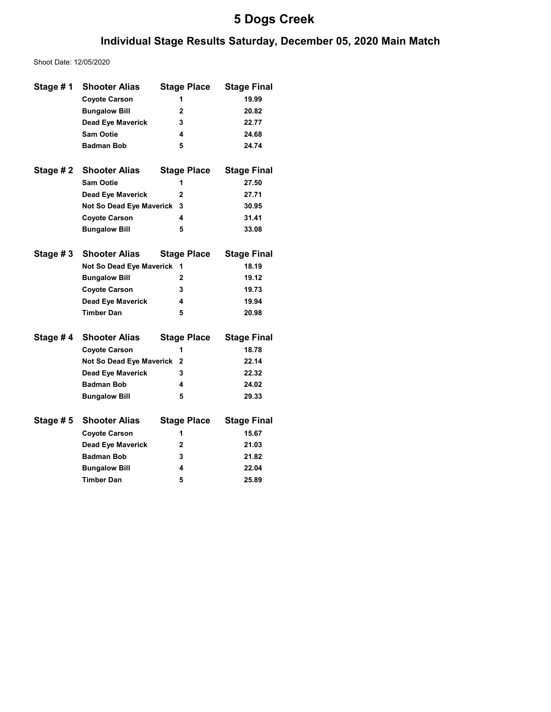### Individual Stage Results Saturday, December 05, 2020 Main Match

Shoot Date: 12/05/2020

| Stage #1  | <b>Shooter Alias</b>     | <b>Stage Place</b> | <b>Stage Final</b> |
|-----------|--------------------------|--------------------|--------------------|
|           | <b>Coyote Carson</b>     | 1                  | 19.99              |
|           | <b>Bungalow Bill</b>     | 2                  | 20.82              |
|           | <b>Dead Eye Maverick</b> | 3                  | 22.77              |
|           | <b>Sam Ootie</b>         | 4                  | 24.68              |
|           | <b>Badman Bob</b>        | 5                  | 24.74              |
| Stage # 2 | <b>Shooter Alias</b>     | <b>Stage Place</b> | <b>Stage Final</b> |
|           | <b>Sam Ootie</b>         | 1                  | 27.50              |
|           | <b>Dead Eye Maverick</b> | 2                  | 27.71              |
|           | Not So Dead Eye Maverick | 3                  | 30.95              |
|           | <b>Coyote Carson</b>     | 4                  | 31.41              |
|           | <b>Bungalow Bill</b>     | 5                  | 33.08              |
|           |                          |                    |                    |
| Stage #3  | <b>Shooter Alias</b>     | <b>Stage Place</b> | <b>Stage Final</b> |
|           | Not So Dead Eye Maverick | 1                  | 18.19              |
|           | <b>Bungalow Bill</b>     | $\mathbf{2}$       | 19.12              |
|           | <b>Coyote Carson</b>     | 3                  | 19.73              |
|           | Dead Eye Maverick        | 4                  | 19.94              |
|           | <b>Timber Dan</b>        | 5                  | 20.98              |
| Stage #4  | <b>Shooter Alias</b>     | <b>Stage Place</b> | <b>Stage Final</b> |
|           | <b>Coyote Carson</b>     | 1                  | 18.78              |
|           | Not So Dead Eye Maverick | 2                  | 22.14              |
|           | <b>Dead Eye Maverick</b> | 3                  | 22.32              |
|           | <b>Badman Bob</b>        | 4                  | 24.02              |
|           | <b>Bungalow Bill</b>     | 5                  | 29.33              |
|           |                          |                    |                    |
| Stage #5  | <b>Shooter Alias</b>     | <b>Stage Place</b> | <b>Stage Final</b> |
|           | <b>Coyote Carson</b>     | 1                  | 15.67              |
|           | <b>Dead Eye Maverick</b> | 2                  | 21.03              |
|           | <b>Badman Bob</b>        | 3                  | 21.82              |
|           | <b>Bungalow Bill</b>     | 4                  | 22.04              |
|           | <b>Timber Dan</b>        | 5                  | 25.89              |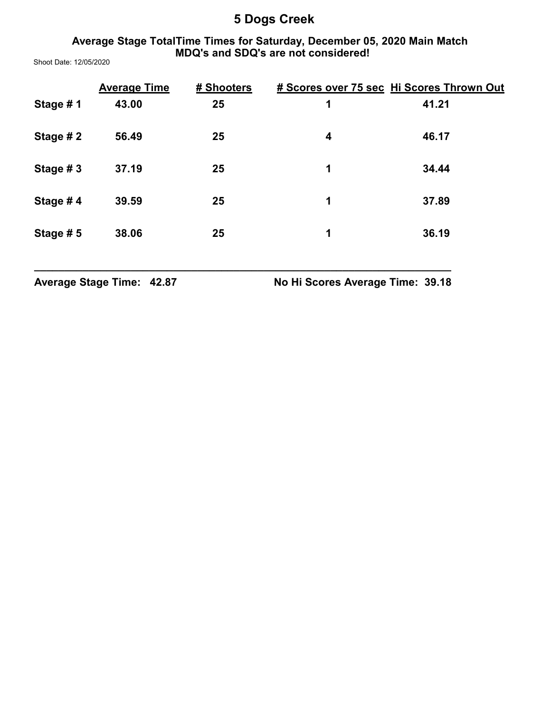#### Average Stage TotalTime Times for Saturday, December 05, 2020 Main Match MDQ's and SDQ's are not considered!

Shoot Date: 12/05/2020

|          | <b>Average Time</b> | # Shooters |   | # Scores over 75 sec Hi Scores Thrown Out |
|----------|---------------------|------------|---|-------------------------------------------|
| Stage #1 | 43.00               | 25         | 1 | 41.21                                     |
| Stage #2 | 56.49               | 25         | 4 | 46.17                                     |
| Stage #3 | 37.19               | 25         | 1 | 34.44                                     |
| Stage #4 | 39.59               | 25         | 1 | 37.89                                     |
| Stage #5 | 38.06               | 25         | 1 | 36.19                                     |

\_\_\_\_\_\_\_\_\_\_\_\_\_\_\_\_\_\_\_\_\_\_\_\_\_\_\_\_\_\_\_\_\_\_\_\_\_\_\_\_\_\_\_\_\_\_\_\_\_\_\_\_\_\_\_\_\_\_\_\_\_\_\_\_\_\_\_\_\_

Average Stage Time: 42.87 No Hi Scores Average Time: 39.18